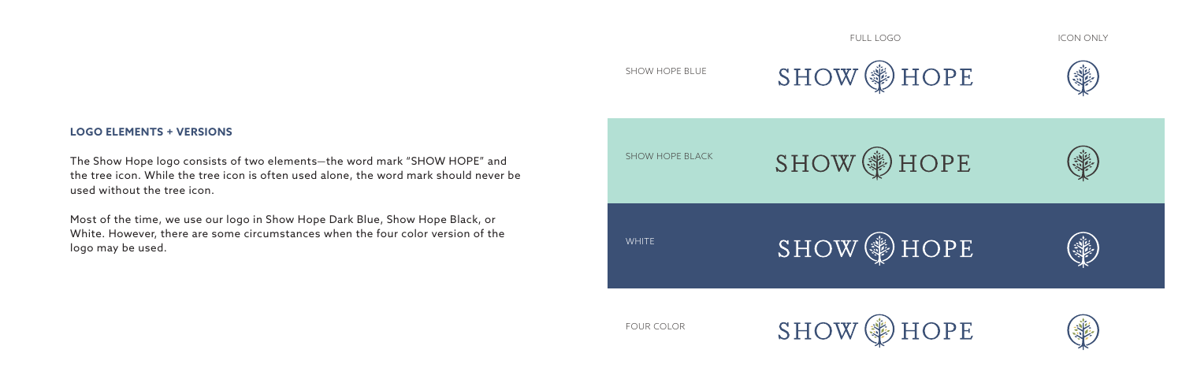

The Show Hope logo consists of two elements—the word mark "SHOW HOPE" and the tree icon. While the tree icon is often used alone, the word mark should never be used without the tree icon.

Most of the time, we use our logo in Show Hope Dark Blue, Show Hope Black, or White. However, there are some circumstances when the four color version of the logo may be used.

FOUR COLOR





## SHOW HOPE BLUE